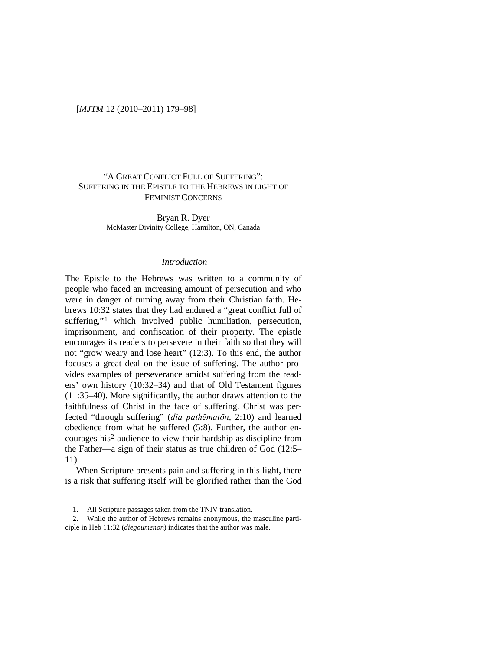## "A GREAT CONFLICT FULL OF SUFFERING": SUFFERING IN THE EPISTLE TO THE HEBREWS IN LIGHT OF FEMINIST CONCERNS

Bryan R. Dyer McMaster Divinity College, Hamilton, ON, Canada

#### *Introduction*

The Epistle to the Hebrews was written to a community of people who faced an increasing amount of persecution and who were in danger of turning away from their Christian faith. Hebrews 10:32 states that they had endured a "great conflict full of suffering,"<sup>[1](#page-0-0)</sup> which involved public humiliation, persecution, imprisonment, and confiscation of their property. The epistle encourages its readers to persevere in their faith so that they will not "grow weary and lose heart" (12:3). To this end, the author focuses a great deal on the issue of suffering. The author provides examples of perseverance amidst suffering from the readers' own history (10:32–34) and that of Old Testament figures (11:35–40). More significantly, the author draws attention to the faithfulness of Christ in the face of suffering. Christ was perfected "through suffering" (*dia pathēmatōn*, 2:10) and learned obedience from what he suffered (5:8). Further, the author encourages his[2](#page-0-1) audience to view their hardship as discipline from the Father—a sign of their status as true children of God (12:5– 11).

When Scripture presents pain and suffering in this light, there is a risk that suffering itself will be glorified rather than the God

1. All Scripture passages taken from the TNIV translation.

<span id="page-0-1"></span><span id="page-0-0"></span>2. While the author of Hebrews remains anonymous, the masculine participle in Heb 11:32 (*diegoumenon*) indicates that the author was male.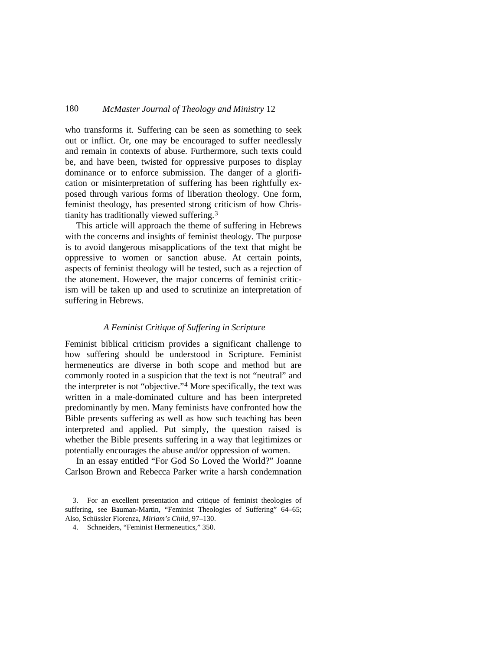who transforms it. Suffering can be seen as something to seek out or inflict. Or, one may be encouraged to suffer needlessly and remain in contexts of abuse. Furthermore, such texts could be, and have been, twisted for oppressive purposes to display dominance or to enforce submission. The danger of a glorification or misinterpretation of suffering has been rightfully exposed through various forms of liberation theology. One form, feminist theology, has presented strong criticism of how Christianity has traditionally viewed suffering[.3](#page-1-0)

This article will approach the theme of suffering in Hebrews with the concerns and insights of feminist theology. The purpose is to avoid dangerous misapplications of the text that might be oppressive to women or sanction abuse. At certain points, aspects of feminist theology will be tested, such as a rejection of the atonement. However, the major concerns of feminist criticism will be taken up and used to scrutinize an interpretation of suffering in Hebrews.

## *A Feminist Critique of Suffering in Scripture*

Feminist biblical criticism provides a significant challenge to how suffering should be understood in Scripture. Feminist hermeneutics are diverse in both scope and method but are commonly rooted in a suspicion that the text is not "neutral" and the interpreter is not "objective."[4](#page-1-1) More specifically, the text was written in a male-dominated culture and has been interpreted predominantly by men. Many feminists have confronted how the Bible presents suffering as well as how such teaching has been interpreted and applied. Put simply, the question raised is whether the Bible presents suffering in a way that legitimizes or potentially encourages the abuse and/or oppression of women.

In an essay entitled "For God So Loved the World?" Joanne Carlson Brown and Rebecca Parker write a harsh condemnation

<span id="page-1-1"></span><span id="page-1-0"></span><sup>3.</sup> For an excellent presentation and critique of feminist theologies of suffering, see Bauman-Martin, "Feminist Theologies of Suffering" 64–65; Also, Schüssler Fiorenza, *Miriam's Child*, 97–130.

<sup>4.</sup> Schneiders, "Feminist Hermeneutics," 350.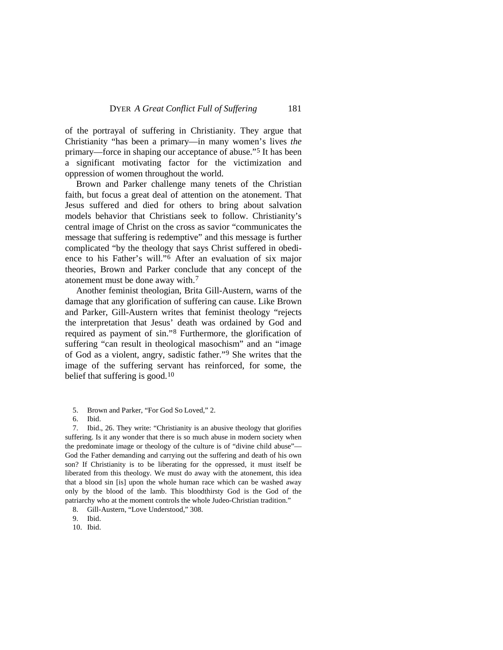of the portrayal of suffering in Christianity. They argue that Christianity "has been a primary—in many women's lives *the* primary—force in shaping our acceptance of abuse."[5](#page-2-0) It has been a significant motivating factor for the victimization and oppression of women throughout the world.

Brown and Parker challenge many tenets of the Christian faith, but focus a great deal of attention on the atonement. That Jesus suffered and died for others to bring about salvation models behavior that Christians seek to follow. Christianity's central image of Christ on the cross as savior "communicates the message that suffering is redemptive" and this message is further complicated "by the theology that says Christ suffered in obedience to his Father's will." [6](#page-2-1) After an evaluation of six major theories, Brown and Parker conclude that any concept of the atonement must be done away with.[7](#page-2-2)

Another feminist theologian, Brita Gill-Austern, warns of the damage that any glorification of suffering can cause. Like Brown and Parker, Gill-Austern writes that feminist theology "rejects the interpretation that Jesus' death was ordained by God and required as payment of sin."[8](#page-2-3) Furthermore, the glorification of suffering "can result in theological masochism" and an "image of God as a violent, angry, sadistic father."[9](#page-2-4) She writes that the image of the suffering servant has reinforced, for some, the belief that suffering is good.<sup>[10](#page-2-5)</sup>

<span id="page-2-2"></span><span id="page-2-1"></span><span id="page-2-0"></span>7. Ibid., 26. They write: "Christianity is an abusive theology that glorifies suffering. Is it any wonder that there is so much abuse in modern society when the predominate image or theology of the culture is of "divine child abuse"— God the Father demanding and carrying out the suffering and death of his own son? If Christianity is to be liberating for the oppressed, it must itself be liberated from this theology. We must do away with the atonement, this idea that a blood sin [is] upon the whole human race which can be washed away only by the blood of the lamb. This bloodthirsty God is the God of the patriarchy who at the moment controls the whole Judeo-Christian tradition."

<span id="page-2-5"></span>10. Ibid.

<sup>5.</sup> Brown and Parker, "For God So Loved," 2.

<sup>6.</sup> Ibid.

<span id="page-2-3"></span><sup>8.</sup> Gill-Austern, "Love Understood," 308.

<span id="page-2-4"></span><sup>9.</sup> Ibid.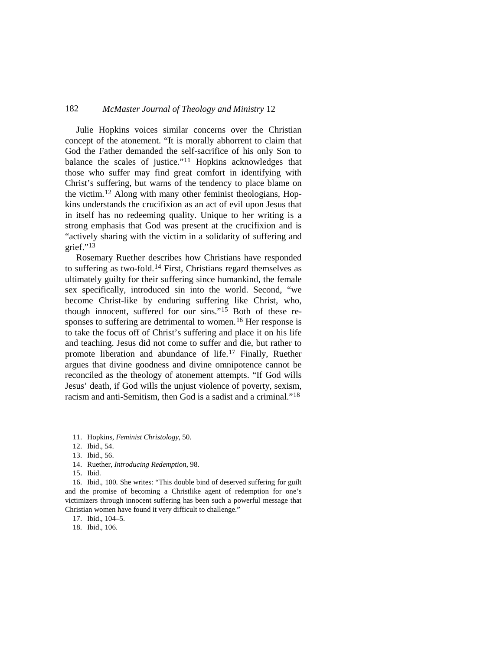Julie Hopkins voices similar concerns over the Christian concept of the atonement. "It is morally abhorrent to claim that God the Father demanded the self-sacrifice of his only Son to balance the scales of justice."[11](#page-3-0) Hopkins acknowledges that those who suffer may find great comfort in identifying with Christ's suffering, but warns of the tendency to place blame on the victim.[12](#page-3-1) Along with many other feminist theologians, Hopkins understands the crucifixion as an act of evil upon Jesus that in itself has no redeeming quality. Unique to her writing is a strong emphasis that God was present at the crucifixion and is "actively sharing with the victim in a solidarity of suffering and grief."[13](#page-3-2)

Rosemary Ruether describes how Christians have responded to suffering as two-fold.[14](#page-3-3) First, Christians regard themselves as ultimately guilty for their suffering since humankind, the female sex specifically, introduced sin into the world. Second, "we become Christ-like by enduring suffering like Christ, who, though innocent, suffered for our sins."[15](#page-3-4) Both of these re-sponses to suffering are detrimental to women.<sup>[16](#page-3-5)</sup> Her response is to take the focus off of Christ's suffering and place it on his life and teaching. Jesus did not come to suffer and die, but rather to promote liberation and abundance of life[.17](#page-3-6) Finally, Ruether argues that divine goodness and divine omnipotence cannot be reconciled as the theology of atonement attempts. "If God wills Jesus' death, if God wills the unjust violence of poverty, sexism, racism and anti-Semitism, then God is a sadist and a criminal."[18](#page-3-7)

- <span id="page-3-1"></span>12. Ibid., 54.
- 13. Ibid., 56.
- 14. Ruether, *Introducing Redemption*, 98.
- 15. Ibid.

<span id="page-3-5"></span><span id="page-3-4"></span><span id="page-3-3"></span><span id="page-3-2"></span>16. Ibid., 100. She writes: "This double bind of deserved suffering for guilt and the promise of becoming a Christlike agent of redemption for one's victimizers through innocent suffering has been such a powerful message that Christian women have found it very difficult to challenge."

<span id="page-3-6"></span>17. Ibid., 104–5.

<span id="page-3-7"></span>18. Ibid., 106.

<span id="page-3-0"></span><sup>11.</sup> Hopkins, *Feminist Christology*, 50.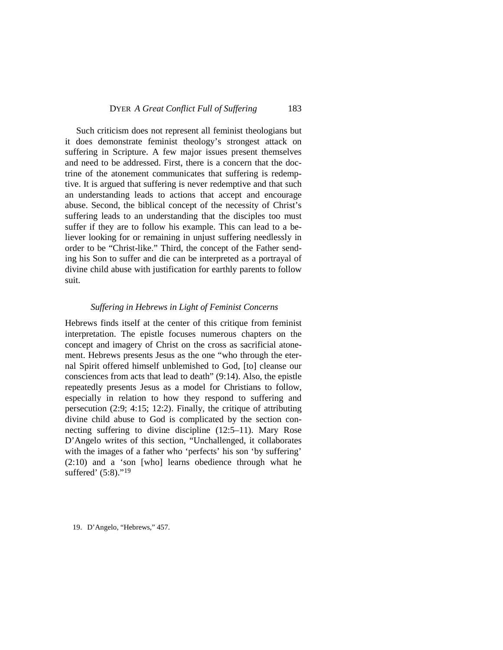Such criticism does not represent all feminist theologians but it does demonstrate feminist theology's strongest attack on suffering in Scripture. A few major issues present themselves and need to be addressed. First, there is a concern that the doctrine of the atonement communicates that suffering is redemptive. It is argued that suffering is never redemptive and that such an understanding leads to actions that accept and encourage abuse. Second, the biblical concept of the necessity of Christ's suffering leads to an understanding that the disciples too must suffer if they are to follow his example. This can lead to a believer looking for or remaining in unjust suffering needlessly in order to be "Christ-like." Third, the concept of the Father sending his Son to suffer and die can be interpreted as a portrayal of divine child abuse with justification for earthly parents to follow suit.

#### *Suffering in Hebrews in Light of Feminist Concerns*

Hebrews finds itself at the center of this critique from feminist interpretation. The epistle focuses numerous chapters on the concept and imagery of Christ on the cross as sacrificial atonement. Hebrews presents Jesus as the one "who through the eternal Spirit offered himself unblemished to God, [to] cleanse our consciences from acts that lead to death" (9:14). Also, the epistle repeatedly presents Jesus as a model for Christians to follow, especially in relation to how they respond to suffering and persecution (2:9; 4:15; 12:2). Finally, the critique of attributing divine child abuse to God is complicated by the section connecting suffering to divine discipline (12:5–11). Mary Rose D'Angelo writes of this section, "Unchallenged, it collaborates with the images of a father who 'perfects' his son 'by suffering' (2:10) and a 'son [who] learns obedience through what he suffered' (5:8)."<sup>[19](#page-4-0)</sup>

<span id="page-4-0"></span>19. D'Angelo, "Hebrews," 457.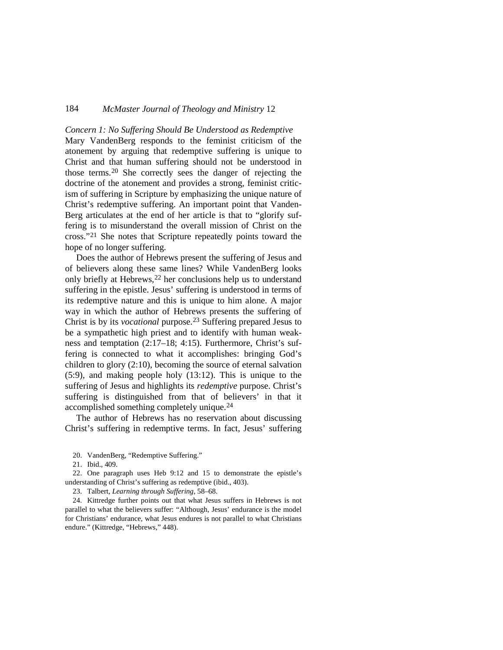*Concern 1: No Suffering Should Be Understood as Redemptive* Mary VandenBerg responds to the feminist criticism of the atonement by arguing that redemptive suffering is unique to Christ and that human suffering should not be understood in those terms.[20](#page-5-0) She correctly sees the danger of rejecting the doctrine of the atonement and provides a strong, feminist criticism of suffering in Scripture by emphasizing the unique nature of Christ's redemptive suffering. An important point that Vanden-Berg articulates at the end of her article is that to "glorify suffering is to misunderstand the overall mission of Christ on the cross."[21](#page-5-1) She notes that Scripture repeatedly points toward the hope of no longer suffering.

Does the author of Hebrews present the suffering of Jesus and of believers along these same lines? While VandenBerg looks only briefly at Hebrews, [22](#page-5-2) her conclusions help us to understand suffering in the epistle. Jesus' suffering is understood in terms of its redemptive nature and this is unique to him alone. A major way in which the author of Hebrews presents the suffering of Christ is by its *vocational* purpose.[23](#page-5-3) Suffering prepared Jesus to be a sympathetic high priest and to identify with human weakness and temptation (2:17–18; 4:15). Furthermore, Christ's suffering is connected to what it accomplishes: bringing God's children to glory (2:10), becoming the source of eternal salvation (5:9), and making people holy (13:12). This is unique to the suffering of Jesus and highlights its *redemptive* purpose. Christ's suffering is distinguished from that of believers' in that it accomplished something completely unique.[24](#page-5-4)

The author of Hebrews has no reservation about discussing Christ's suffering in redemptive terms. In fact, Jesus' suffering

<span id="page-5-2"></span><span id="page-5-1"></span><span id="page-5-0"></span>22. One paragraph uses Heb 9:12 and 15 to demonstrate the epistle's understanding of Christ's suffering as redemptive (ibid., 403).

23. Talbert, *Learning through Suffering*, 58–68.

<span id="page-5-4"></span><span id="page-5-3"></span>24. Kittredge further points out that what Jesus suffers in Hebrews is not parallel to what the believers suffer: "Although, Jesus' endurance is the model for Christians' endurance, what Jesus endures is not parallel to what Christians endure." (Kittredge, "Hebrews," 448).

<sup>20.</sup> VandenBerg, "Redemptive Suffering."

<sup>21.</sup> Ibid., 409.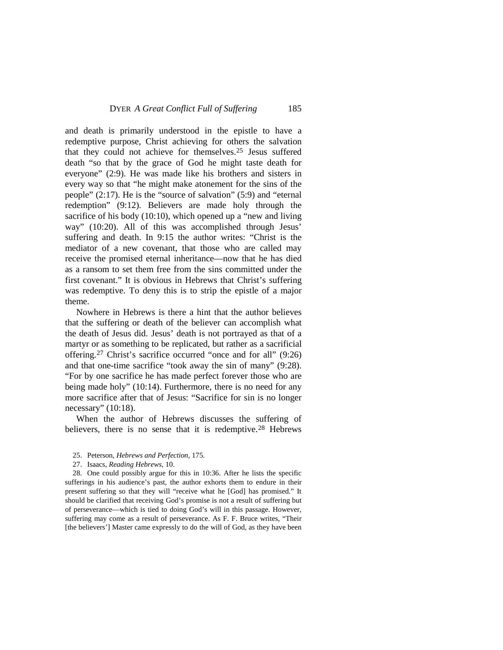<span id="page-6-1"></span>and death is primarily understood in the epistle to have a redemptive purpose, Christ achieving for others the salvation that they could not achieve for themselves.[25](#page-6-0) Jesus suffered death "so that by the grace of God he might taste death for everyone" (2:9). He was made like his brothers and sisters in every way so that "he might make atonement for the sins of the people" (2:17). He is the "source of salvation" (5:9) and "eternal redemption" (9:12). Believers are made holy through the sacrifice of his body (10:10), which opened up a "new and living way" (10:20). All of this was accomplished through Jesus' suffering and death. In 9:15 the author writes: "Christ is the mediator of a new covenant, that those who are called may receive the promised eternal inheritance—now that he has died as a ransom to set them free from the sins committed under the first covenant." It is obvious in Hebrews that Christ's suffering was redemptive. To deny this is to strip the epistle of a major theme.

Nowhere in Hebrews is there a hint that the author believes that the suffering or death of the believer can accomplish what the death of Jesus did. Jesus ['](#page-6-1) death is not portrayed as that of a martyr or as something to be replicated, but rather as a sacrificial offering.[27](#page-6-2) Christ's sacrifice occurred "once and for all" (9:26) and that one-time sacrifice "took away the sin of many" (9:28). "For by one sacrifice he has made perfect forever those who are being made holy" (10:14). Furthermore, there is no need for any more sacrifice after that of Jesus: "Sacrifice for sin is no longer necessary" (10:18).

When the author of Hebrews discusses the suffering of believers, there is no sense that it is redemptive.<sup>[28](#page-6-3)</sup> Hebrews

- 25. Peterson, *Hebrews and Perfection*, 175.
- 27. Isaacs, *Reading Hebrews*, 10.

<span id="page-6-3"></span><span id="page-6-2"></span><span id="page-6-0"></span>28. One could possibly argue for this in 10:36. After he lists the specific sufferings in his audience's past, the author exhorts them to endure in their present suffering so that they will "receive what he [God] has promised." It should be clarified that receiving God's promise is not a result of suffering but of perseverance—which is tied to doing God's will in this passage. However, suffering may come as a result of perseverance. As F. F. Bruce writes, "Their [the believers'] Master came expressly to do the will of God, as they have been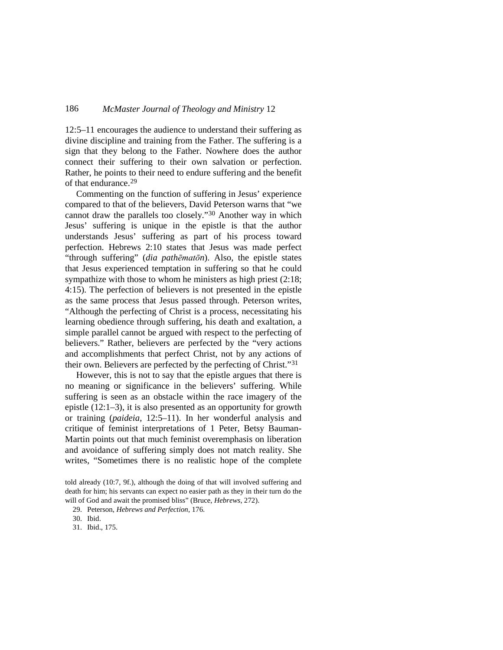12:5–11 encourages the audience to understand their suffering as divine discipline and training from the Father. The suffering is a sign that they belong to the Father. Nowhere does the author connect their suffering to their own salvation or perfection. Rather, he points to their need to endure suffering and the benefit of that endurance.[29](#page-7-0)

Commenting on the function of suffering in Jesus' experience compared to that of the believers, David Peterson warns that "we cannot draw the parallels too closely."[30](#page-7-1) Another way in which Jesus' suffering is unique in the epistle is that the author understands Jesus' suffering as part of his process toward perfection. Hebrews 2:10 states that Jesus was made perfect "through suffering" (*dia pathēmatōn*). Also, the epistle states that Jesus experienced temptation in suffering so that he could sympathize with those to whom he ministers as high priest  $(2.18)$ ; 4:15). The perfection of believers is not presented in the epistle as the same process that Jesus passed through. Peterson writes, "Although the perfecting of Christ is a process, necessitating his learning obedience through suffering, his death and exaltation, a simple parallel cannot be argued with respect to the perfecting of believers." Rather, believers are perfected by the "very actions and accomplishments that perfect Christ, not by any actions of their own. Believers are perfected by the perfecting of Christ."[31](#page-7-2)

However, this is not to say that the epistle argues that there is no meaning or significance in the believers' suffering. While suffering is seen as an obstacle within the race imagery of the epistle (12:1–3), it is also presented as an opportunity for growth or training (*paideia*, 12:5–11). In her wonderful analysis and critique of feminist interpretations of 1 Peter, Betsy Bauman-Martin points out that much feminist overemphasis on liberation and avoidance of suffering simply does not match reality. She writes, "Sometimes there is no realistic hope of the complete

<span id="page-7-0"></span>told already (10:7, 9f.), although the doing of that will involved suffering and death for him; his servants can expect no easier path as they in their turn do the will of God and await the promised bliss" (Bruce, *Hebrews*, 272).

<sup>29.</sup> Peterson, *Hebrews and Perfection*, 176.

<span id="page-7-1"></span><sup>30.</sup> Ibid.

<span id="page-7-2"></span><sup>31.</sup> Ibid., 175.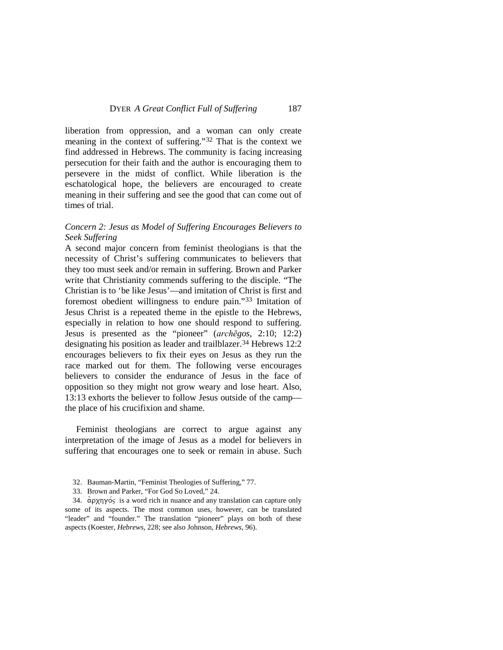liberation from oppression, and a woman can only create meaning in the context of suffering."[32](#page-8-0) That is the context we find addressed in Hebrews. The community is facing increasing persecution for their faith and the author is encouraging them to persevere in the midst of conflict. While liberation is the eschatological hope, the believers are encouraged to create meaning in their suffering and see the good that can come out of times of trial.

# *Concern 2: Jesus as Model of Suffering Encourages Believers to Seek Suffering*

A second major concern from feminist theologians is that the necessity of Christ's suffering communicates to believers that they too must seek and/or remain in suffering. Brown and Parker write that Christianity commends suffering to the disciple. "The Christian is to 'be like Jesus'—and imitation of Christ is first and foremost obedient willingness to endure pain."[33](#page-8-1) Imitation of Jesus Christ is a repeated theme in the epistle to the Hebrews, especially in relation to how one should respond to suffering. Jesus is presented as the "pioneer" (*archēgos,* 2:10; 12:2) designating his position as leader and trailblazer.[34](#page-8-2) Hebrews 12:2 encourages believers to fix their eyes on Jesus as they run the race marked out for them. The following verse encourages believers to consider the endurance of Jesus in the face of opposition so they might not grow weary and lose heart. Also, 13:13 exhorts the believer to follow Jesus outside of the camp the place of his crucifixion and shame.

Feminist theologians are correct to argue against any interpretation of the image of Jesus as a model for believers in suffering that encourages one to seek or remain in abuse. Such

- 32. Bauman-Martin, "Feminist Theologies of Suffering," 77.
- 33. Brown and Parker, "For God So Loved," 24.

<span id="page-8-2"></span><span id="page-8-1"></span><span id="page-8-0"></span>34.  $\alpha$ <sub>p</sub> $\gamma$ <sub>p</sub> $\gamma$ <sub>p</sub> $\gamma$ <sub>p</sub> is a word rich in nuance and any translation can capture only some of its aspects. The most common uses, however, can be translated "leader" and "founder." The translation "pioneer" plays on both of these aspects (Koester, *Hebrews*, 228; see also Johnson, *Hebrews*, 96).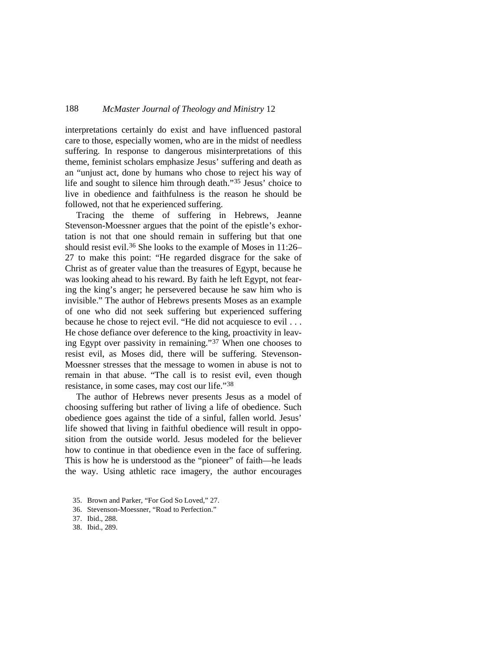interpretations certainly do exist and have influenced pastoral care to those, especially women, who are in the midst of needless suffering. In response to dangerous misinterpretations of this theme, feminist scholars emphasize Jesus' suffering and death as an "unjust act, done by humans who chose to reject his way of life and sought to silence him through death."[35](#page-9-0) Jesus' choice to live in obedience and faithfulness is the reason he should be followed, not that he experienced suffering.

Tracing the theme of suffering in Hebrews, Jeanne Stevenson-Moessner argues that the point of the epistle's exhortation is not that one should remain in suffering but that one should resist evil.<sup>[36](#page-9-1)</sup> She looks to the example of Moses in 11:26– 27 to make this point: "He regarded disgrace for the sake of Christ as of greater value than the treasures of Egypt, because he was looking ahead to his reward. By faith he left Egypt, not fearing the king's anger; he persevered because he saw him who is invisible." The author of Hebrews presents Moses as an example of one who did not seek suffering but experienced suffering because he chose to reject evil. "He did not acquiesce to evil . . . He chose defiance over deference to the king, proactivity in leaving Egypt over passivity in remaining."[37](#page-9-2) When one chooses to resist evil, as Moses did, there will be suffering. Stevenson-Moessner stresses that the message to women in abuse is not to remain in that abuse. "The call is to resist evil, even though resistance, in some cases, may cost our life."[38](#page-9-3)

The author of Hebrews never presents Jesus as a model of choosing suffering but rather of living a life of obedience. Such obedience goes against the tide of a sinful, fallen world. Jesus' life showed that living in faithful obedience will result in opposition from the outside world. Jesus modeled for the believer how to continue in that obedience even in the face of suffering. This is how he is understood as the "pioneer" of faith—he leads the way. Using athletic race imagery, the author encourages

<span id="page-9-0"></span><sup>35.</sup> Brown and Parker, "For God So Loved," 27.

<span id="page-9-1"></span><sup>36.</sup> Stevenson-Moessner, "Road to Perfection."

<span id="page-9-3"></span><span id="page-9-2"></span><sup>37.</sup> Ibid., 288.

<sup>38.</sup> Ibid., 289.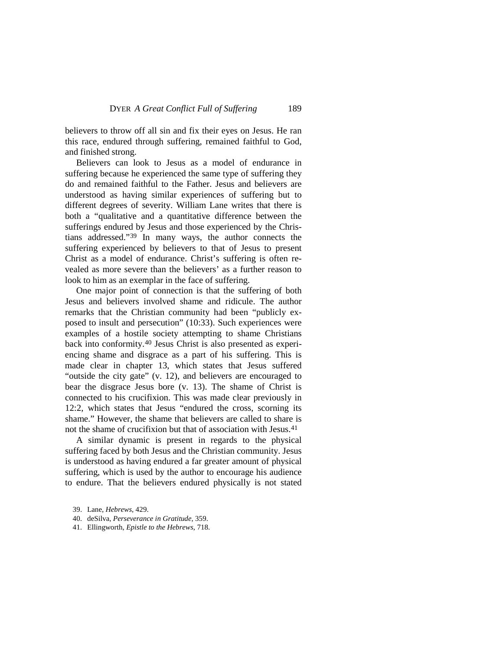believers to throw off all sin and fix their eyes on Jesus. He ran this race, endured through suffering, remained faithful to God, and finished strong.

Believers can look to Jesus as a model of endurance in suffering because he experienced the same type of suffering they do and remained faithful to the Father. Jesus and believers are understood as having similar experiences of suffering but to different degrees of severity. William Lane writes that there is both a "qualitative and a quantitative difference between the sufferings endured by Jesus and those experienced by the Christians addressed.["39](#page-10-0) In many ways, the author connects the suffering experienced by believers to that of Jesus to present Christ as a model of endurance. Christ's suffering is often revealed as more severe than the believers' as a further reason to look to him as an exemplar in the face of suffering.

One major point of connection is that the suffering of both Jesus and believers involved shame and ridicule. The author remarks that the Christian community had been "publicly exposed to insult and persecution" (10:33). Such experiences were examples of a hostile society attempting to shame Christians back into conformity. [40](#page-10-1) Jesus Christ is also presented as experiencing shame and disgrace as a part of his suffering. This is made clear in chapter 13, which states that Jesus suffered "outside the city gate" (v. 12), and believers are encouraged to bear the disgrace Jesus bore (v. 13). The shame of Christ is connected to his crucifixion. This was made clear previously in 12:2, which states that Jesus "endured the cross, scorning its shame." However, the shame that believers are called to share is not the shame of crucifixion but that of association with Jesus[.41](#page-10-2)

A similar dynamic is present in regards to the physical suffering faced by both Jesus and the Christian community. Jesus is understood as having endured a far greater amount of physical suffering, which is used by the author to encourage his audience to endure. That the believers endured physically is not stated

- <span id="page-10-1"></span>40. deSilva, *Perseverance in Gratitude*, 359.
- <span id="page-10-2"></span>41. Ellingworth, *Epistle to the Hebrews*, 718.

<span id="page-10-0"></span><sup>39.</sup> Lane, *Hebrews*, 429.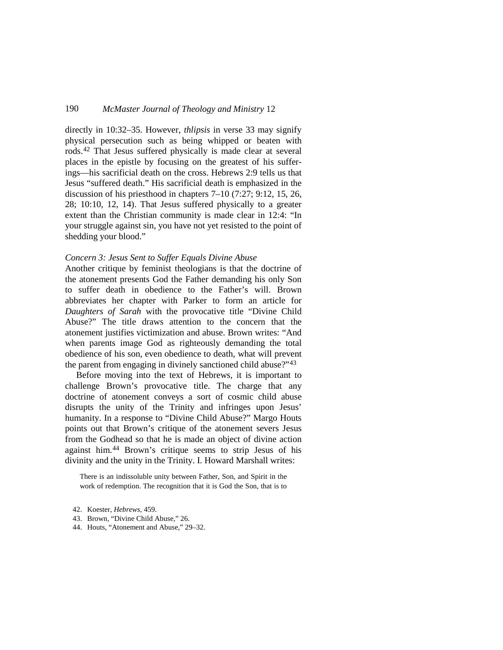directly in 10:32–35. However, *thlipsis* in verse 33 may signify physical persecution such as being whipped or beaten with rods[.42](#page-11-0) That Jesus suffered physically is made clear at several places in the epistle by focusing on the greatest of his sufferings—his sacrificial death on the cross. Hebrews 2:9 tells us that Jesus "suffered death." His sacrificial death is emphasized in the discussion of his priesthood in chapters 7–10 (7:27; 9:12, 15, 26, 28; 10:10, 12, 14). That Jesus suffered physically to a greater extent than the Christian community is made clear in 12:4: "In your struggle against sin, you have not yet resisted to the point of shedding your blood."

#### *Concern 3: Jesus Sent to Suffer Equals Divine Abuse*

Another critique by feminist theologians is that the doctrine of the atonement presents God the Father demanding his only Son to suffer death in obedience to the Father's will. Brown abbreviates her chapter with Parker to form an article for *Daughters of Sarah* with the provocative title "Divine Child Abuse?" The title draws attention to the concern that the atonement justifies victimization and abuse. Brown writes: "And when parents image God as righteously demanding the total obedience of his son, even obedience to death, what will prevent the parent from engaging in divinely sanctioned child abuse?"[43](#page-11-1)

Before moving into the text of Hebrews, it is important to challenge Brown's provocative title. The charge that any doctrine of atonement conveys a sort of cosmic child abuse disrupts the unity of the Trinity and infringes upon Jesus' humanity. In a response to "Divine Child Abuse?" Margo Houts points out that Brown's critique of the atonement severs Jesus from the Godhead so that he is made an object of divine action against him.[44](#page-12-0) Brown's critique seems to strip Jesus of his divinity and the unity in the Trinity. I. Howard Marshall writes:

There is an indissoluble unity between Father, Son, and Spirit in the work of redemption. The recognition that it is God the Son, that is to

<span id="page-11-0"></span><sup>42.</sup> Koester, *Hebrews*, 459.

<span id="page-11-1"></span><sup>43.</sup> Brown, "Divine Child Abuse," 26.

<sup>44.</sup> Houts, "Atonement and Abuse," 29–32.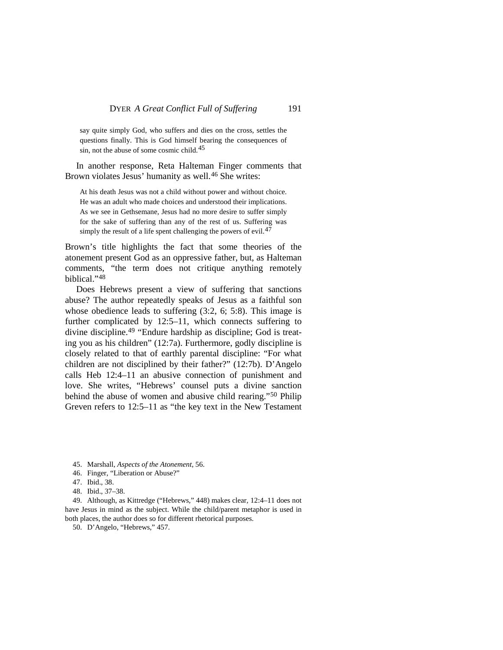say quite simply God, who suffers and dies on the cross, settles the questions finally. This is God himself bearing the consequences of sin, not the abuse of some cosmic child.[45](#page-12-1)

In another response, Reta Halteman Finger comments that Brown violates Jesus' humanity as well.<sup>[46](#page-12-2)</sup> She writes:

At his death Jesus was not a child without power and without choice. He was an adult who made choices and understood their implications. As we see in Gethsemane, Jesus had no more desire to suffer simply for the sake of suffering than any of the rest of us. Suffering was simply the result of a life spent challenging the powers of evil.<sup>[47](#page-12-3)</sup>

Brown's title highlights the fact that some theories of the atonement present God as an oppressive father, but, as Halteman comments, "the term does not critique anything remotely biblical."[48](#page-12-4)

Does Hebrews present a view of suffering that sanctions abuse? The author repeatedly speaks of Jesus as a faithful son whose obedience leads to suffering  $(3:2, 6; 5:8)$ . This image is further complicated by 12:5–11, which connects suffering to divine discipline.[49](#page-12-5) "Endure hardship as discipline; God is treating you as his children" (12:7a). Furthermore, godly discipline is closely related to that of earthly parental discipline: "For what children are not disciplined by their father?" (12:7b). D'Angelo calls Heb 12:4–11 an abusive connection of punishment and love. She writes, "Hebrews' counsel puts a divine sanction behind the abuse of women and abusive child rearing."<sup>[50](#page-13-0)</sup> Philip Greven refers to 12:5–11 as "the key text in the New Testament

- 45. Marshall, *Aspects of the Atonement*, 56.
- <span id="page-12-1"></span>46. Finger, "Liberation or Abuse?"
- 47. Ibid., 38.
- 48. Ibid., 37–38.

<span id="page-12-5"></span><span id="page-12-4"></span><span id="page-12-3"></span><span id="page-12-2"></span><span id="page-12-0"></span>49. Although, as Kittredge ("Hebrews," 448) makes clear, 12:4–11 does not have Jesus in mind as the subject. While the child/parent metaphor is used in both places, the author does so for different rhetorical purposes.

50. D'Angelo, "Hebrews," 457.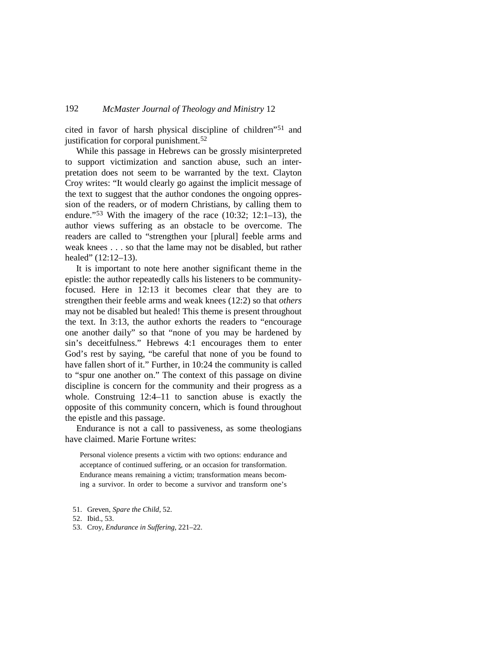cited in favor of harsh physical discipline of children"[51](#page-13-1) and justification for corporal punishment.<sup>[52](#page-13-2)</sup>

While this passage in Hebrews can be grossly misinterpreted to support victimization and sanction abuse, such an interpretation does not seem to be warranted by the text. Clayton Croy writes: "It would clearly go against the implicit message of the text to suggest that the author condones the ongoing oppression of the readers, or of modern Christians, by calling them to endure."<sup>[53](#page-13-0)</sup> With the imagery of the race (10:32; 12:1–13), the author views suffering as an obstacle to be overcome. The readers are called to "strengthen your [plural] feeble arms and weak knees . . . so that the lame may not be disabled, but rather healed" (12:12–13).

It is important to note here another significant theme in the epistle: the author repeatedly calls his listeners to be communityfocused. Here in 12:13 it becomes clear that they are to strengthen their feeble arms and weak knees (12:2) so that *others* may not be disabled but healed! This theme is present throughout the text. In 3:13, the author exhorts the readers to "encourage one another daily" so that "none of you may be hardened by sin's deceitfulness." Hebrews 4:1 encourages them to enter God's rest by saying, "be careful that none of you be found to have fallen short of it." Further, in 10:24 the community is called to "spur one another on." The context of this passage on divine discipline is concern for the community and their progress as a whole. Construing 12:4–11 to sanction abuse is exactly the opposite of this community concern, which is found throughout the epistle and this passage.

Endurance is not a call to passiveness, as some theologians have claimed. Marie Fortune writes:

Personal violence presents a victim with two options: endurance and acceptance of continued suffering, or an occasion for transformation. Endurance means remaining a victim; transformation means becoming a survivor. In order to become a survivor and transform one's

<span id="page-13-1"></span><sup>51.</sup> Greven, *Spare the Child*, 52.

<span id="page-13-2"></span><sup>52.</sup> Ibid., 53.

<span id="page-13-0"></span><sup>53.</sup> Croy, *Endurance in Suffering*, 221–22.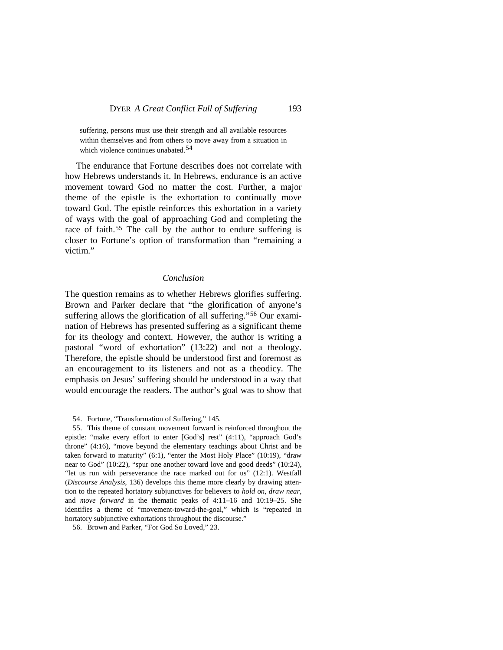suffering, persons must use their strength and all available resources within themselves and from others to move away from a situation in which violence continues unabated.<sup>[54](#page-14-0)</sup>

The endurance that Fortune describes does not correlate with how Hebrews understands it. In Hebrews, endurance is an active movement toward God no matter the cost. Further, a major theme of the epistle is the exhortation to continually move toward God. The epistle reinforces this exhortation in a variety of ways with the goal of approaching God and completing the race of faith.<sup>[55](#page-14-1)</sup> The call by the author to endure suffering is closer to Fortune's option of transformation than "remaining a victim."

#### *Conclusion*

The question remains as to whether Hebrews glorifies suffering. Brown and Parker declare that "the glorification of anyone's suffering allows the glorification of all suffering."<sup>[56](#page-14-2)</sup> Our examination of Hebrews has presented suffering as a significant theme for its theology and context. However, the author is writing a pastoral "word of exhortation" (13:22) and not a theology. Therefore, the epistle should be understood first and foremost as an encouragement to its listeners and not as a theodicy. The emphasis on Jesus' suffering should be understood in a way that would encourage the readers. The author's goal was to show that

54. Fortune, "Transformation of Suffering," 145.

<span id="page-14-1"></span><span id="page-14-0"></span>55. This theme of constant movement forward is reinforced throughout the epistle: "make every effort to enter [God's] rest" (4:11), "approach God's throne" (4:16), "move beyond the elementary teachings about Christ and be taken forward to maturity" (6:1), "enter the Most Holy Place" (10:19), "draw near to God" (10:22), "spur one another toward love and good deeds" (10:24), "let us run with perseverance the race marked out for us" (12:1). Westfall (*Discourse Analysis*, 136) develops this theme more clearly by drawing attention to the repeated hortatory subjunctives for believers to *hold on*, *draw near*, and *move forward* in the thematic peaks of 4:11–16 and 10:19–25. She identifies a theme of "movement-toward-the-goal," which is "repeated in hortatory subjunctive exhortations throughout the discourse."

<span id="page-14-2"></span>56. Brown and Parker, "For God So Loved," 23.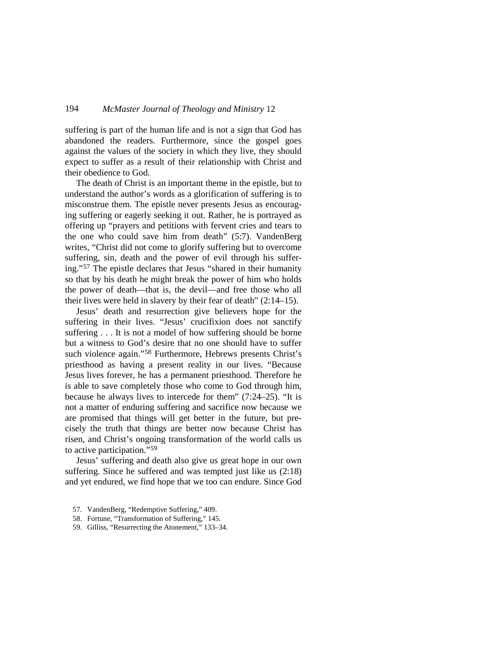suffering is part of the human life and is not a sign that God has abandoned the readers. Furthermore, since the gospel goes against the values of the society in which they live, they should expect to suffer as a result of their relationship with Christ and their obedience to God.

The death of Christ is an important theme in the epistle, but to understand the author's words as a glorification of suffering is to misconstrue them. The epistle never presents Jesus as encouraging suffering or eagerly seeking it out. Rather, he is portrayed as offering up "prayers and petitions with fervent cries and tears to the one who could save him from death" (5:7). VandenBerg writes, "Christ did not come to glorify suffering but to overcome suffering, sin, death and the power of evil through his suffering."[57](#page-15-0) The epistle declares that Jesus "shared in their humanity so that by his death he might break the power of him who holds the power of death—that is, the devil—and free those who all their lives were held in slavery by their fear of death" (2:14–15).

Jesus' death and resurrection give believers hope for the suffering in their lives. "Jesus' crucifixion does not sanctify suffering . . . It is not a model of how suffering should be borne but a witness to God's desire that no one should have to suffer such violence again." [58](#page-15-1) Furthermore, Hebrews presents Christ's priesthood as having a present reality in our lives. "Because Jesus lives forever, he has a permanent priesthood. Therefore he is able to save completely those who come to God through him, because he always lives to intercede for them" (7:24–25). "It is not a matter of enduring suffering and sacrifice now because we are promised that things will get better in the future, but precisely the truth that things are better now because Christ has risen, and Christ's ongoing transformation of the world calls us to active participation."[59](#page-15-2)

Jesus' suffering and death also give us great hope in our own suffering. Since he suffered and was tempted just like us (2:18) and yet endured, we find hope that we too can endure. Since God

- <span id="page-15-0"></span>57. VandenBerg, "Redemptive Suffering," 409.
- <span id="page-15-1"></span>58. Fortune, "Transformation of Suffering," 145.
- <span id="page-15-2"></span>59. Gilliss, "Resurrecting the Atonement," 133–34.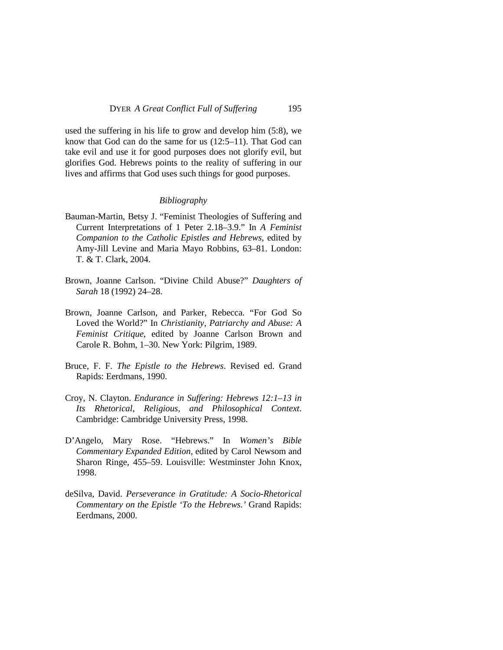used the suffering in his life to grow and develop him (5:8), we know that God can do the same for us (12:5–11). That God can take evil and use it for good purposes does not glorify evil, but glorifies God. Hebrews points to the reality of suffering in our lives and affirms that God uses such things for good purposes.

### *Bibliography*

- Bauman-Martin, Betsy J. "Feminist Theologies of Suffering and Current Interpretations of 1 Peter 2.18–3.9." In *A Feminist Companion to the Catholic Epistles and Hebrews*, edited by Amy-Jill Levine and Maria Mayo Robbins, 63–81. London: T. & T. Clark, 2004.
- Brown, Joanne Carlson. "Divine Child Abuse?" *Daughters of Sarah* 18 (1992) 24–28.
- Brown, Joanne Carlson, and Parker, Rebecca. "For God So Loved the World?" In *Christianity, Patriarchy and Abuse: A Feminist Critique*, edited by Joanne Carlson Brown and Carole R. Bohm, 1–30. New York: Pilgrim, 1989.
- Bruce, F. F. *The Epistle to the Hebrews*. Revised ed. Grand Rapids: Eerdmans, 1990.
- Croy, N. Clayton. *Endurance in Suffering: Hebrews 12:1*–*13 in Its Rhetorical, Religious, and Philosophical Context*. Cambridge: Cambridge University Press, 1998.
- D'Angelo, Mary Rose. "Hebrews." In *Women's Bible Commentary Expanded Edition*, edited by Carol Newsom and Sharon Ringe, 455–59. Louisville: Westminster John Knox, 1998.
- deSilva, David. *Perseverance in Gratitude: A Socio-Rhetorical Commentary on the Epistle 'To the Hebrews.'* Grand Rapids: Eerdmans, 2000.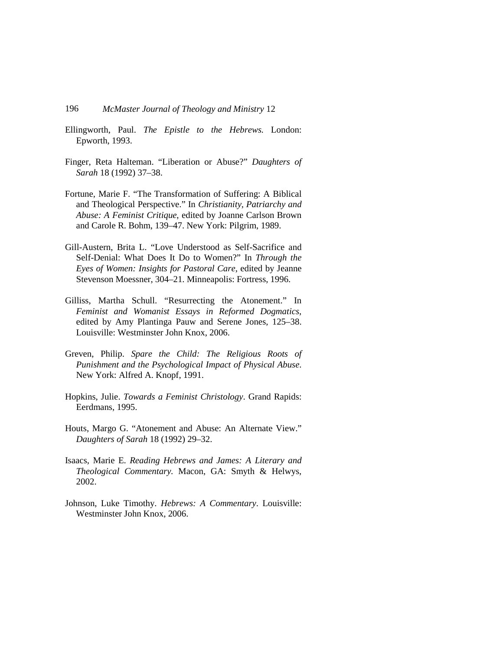- Ellingworth, Paul. *The Epistle to the Hebrews.* London: Epworth, 1993.
- Finger, Reta Halteman. "Liberation or Abuse?" *Daughters of Sarah* 18 (1992) 37–38.
- Fortune, Marie F. "The Transformation of Suffering: A Biblical and Theological Perspective." In *Christianity, Patriarchy and Abuse: A Feminist Critique*, edited by Joanne Carlson Brown and Carole R. Bohm, 139–47. New York: Pilgrim, 1989.
- Gill-Austern, Brita L. "Love Understood as Self-Sacrifice and Self-Denial: What Does It Do to Women?" In *Through the Eyes of Women: Insights for Pastoral Care*, edited by Jeanne Stevenson Moessner, 304–21. Minneapolis: Fortress, 1996.
- Gilliss, Martha Schull. "Resurrecting the Atonement." In *Feminist and Womanist Essays in Reformed Dogmatics*, edited by Amy Plantinga Pauw and Serene Jones, 125–38. Louisville: Westminster John Knox, 2006.
- Greven, Philip. *Spare the Child: The Religious Roots of Punishment and the Psychological Impact of Physical Abuse*. New York: Alfred A. Knopf, 1991.
- Hopkins, Julie. *Towards a Feminist Christology*. Grand Rapids: Eerdmans, 1995.
- Houts, Margo G. "Atonement and Abuse: An Alternate View." *Daughters of Sarah* 18 (1992) 29–32.
- Isaacs, Marie E. *Reading Hebrews and James: A Literary and Theological Commentary.* Macon, GA: Smyth & Helwys, 2002.
- Johnson, Luke Timothy. *Hebrews: A Commentary*. Louisville: Westminster John Knox, 2006.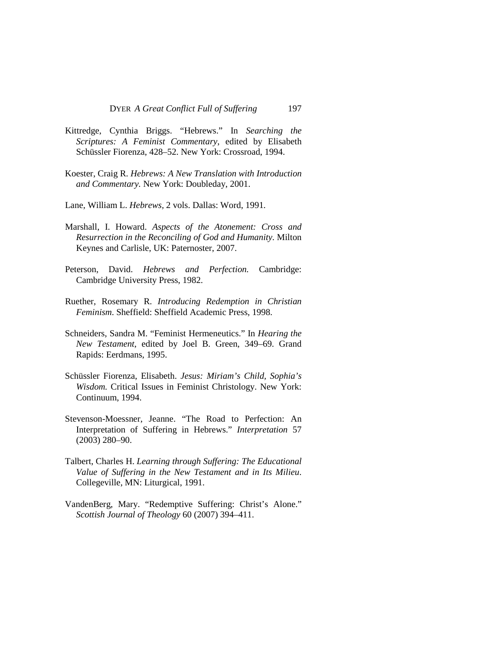- Kittredge, Cynthia Briggs. "Hebrews." In *Searching the Scriptures: A Feminist Commentary*, edited by Elisabeth Schüssler Fiorenza, 428–52. New York: Crossroad, 1994.
- Koester, Craig R. *Hebrews: A New Translation with Introduction and Commentary.* New York: Doubleday, 2001.
- Lane, William L. *Hebrews,* 2 vols. Dallas: Word, 1991.
- Marshall, I. Howard. *Aspects of the Atonement: Cross and Resurrection in the Reconciling of God and Humanity.* Milton Keynes and Carlisle, UK: Paternoster, 2007.
- Peterson, David. *Hebrews and Perfection.* Cambridge: Cambridge University Press, 1982.
- Ruether, Rosemary R. *Introducing Redemption in Christian Feminism*. Sheffield: Sheffield Academic Press, 1998.
- Schneiders, Sandra M. "Feminist Hermeneutics." In *Hearing the New Testament*, edited by Joel B. Green, 349–69. Grand Rapids: Eerdmans, 1995.
- Schüssler Fiorenza, Elisabeth. *Jesus: Miriam's Child, Sophia's Wisdom.* Critical Issues in Feminist Christology. New York: Continuum, 1994.
- Stevenson-Moessner, Jeanne. "The Road to Perfection: An Interpretation of Suffering in Hebrews." *Interpretation* 57 (2003) 280–90.
- Talbert, Charles H. *Learning through Suffering: The Educational Value of Suffering in the New Testament and in Its Milieu*. Collegeville, MN: Liturgical, 1991.
- VandenBerg, Mary. "Redemptive Suffering: Christ's Alone." *Scottish Journal of Theology* 60 (2007) 394–411.